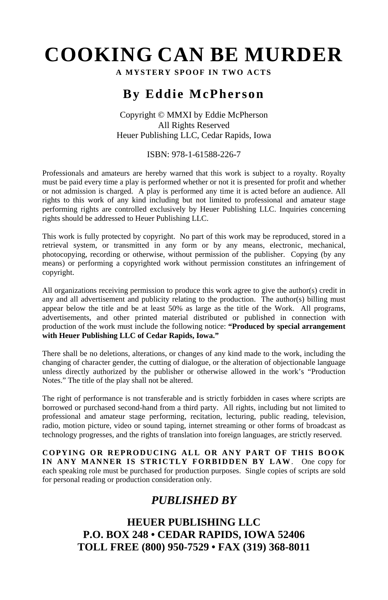# **COOKING CAN BE MURDER**

**A MYSTERY SPOOF IN TWO ACTS**

# **By Eddie McPherson**

Copyright © MMXI by Eddie McPherson All Rights Reserved Heuer Publishing LLC, Cedar Rapids, Iowa

#### ISBN: 978-1-61588-226-7

Professionals and amateurs are hereby warned that this work is subject to a royalty. Royalty must be paid every time a play is performed whether or not it is presented for profit and whether or not admission is charged. A play is performed any time it is acted before an audience. All rights to this work of any kind including but not limited to professional and amateur stage performing rights are controlled exclusively by Heuer Publishing LLC. Inquiries concerning rights should be addressed to Heuer Publishing LLC.

This work is fully protected by copyright. No part of this work may be reproduced, stored in a retrieval system, or transmitted in any form or by any means, electronic, mechanical, photocopying, recording or otherwise, without permission of the publisher. Copying (by any means) or performing a copyrighted work without permission constitutes an infringement of copyright.

All organizations receiving permission to produce this work agree to give the author(s) credit in any and all advertisement and publicity relating to the production. The author(s) billing must appear below the title and be at least 50% as large as the title of the Work. All programs, advertisements, and other printed material distributed or published in connection with production of the work must include the following notice: **"Produced by special arrangement with Heuer Publishing LLC of Cedar Rapids, Iowa."**

There shall be no deletions, alterations, or changes of any kind made to the work, including the changing of character gender, the cutting of dialogue, or the alteration of objectionable language unless directly authorized by the publisher or otherwise allowed in the work's "Production Notes." The title of the play shall not be altered.

The right of performance is not transferable and is strictly forbidden in cases where scripts are borrowed or purchased second-hand from a third party. All rights, including but not limited to professional and amateur stage performing, recitation, lecturing, public reading, television, radio, motion picture, video or sound taping, internet streaming or other forms of broadcast as technology progresses, and the rights of translation into foreign languages, are strictly reserved.

**COPYING OR REPRODUCING ALL OR ANY PART OF THIS BOOK IN ANY MANNER IS STRICTLY FORBIDDEN BY LAW**. One copy for each speaking role must be purchased for production purposes. Single copies of scripts are sold for personal reading or production consideration only.

# *PUBLISHED BY*

**HEUER PUBLISHING LLC P.O. BOX 248 • CEDAR RAPIDS, IOWA 52406 TOLL FREE (800) 950-7529 • FAX (319) 368-8011**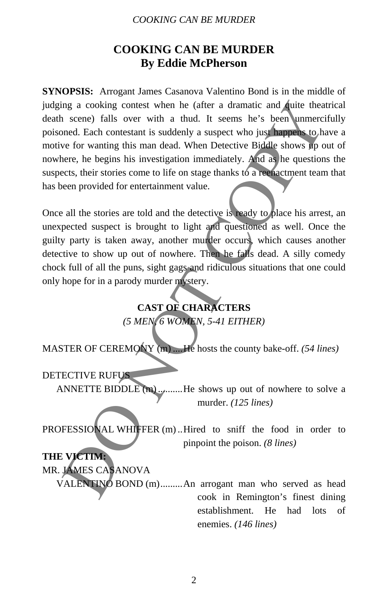#### *COOKING CAN BE MURDER*

# **COOKING CAN BE MURDER By Eddie McPherson**

**SYNOPSIS:** Arrogant James Casanova Valentino Bond is in the middle of judging a cooking contest when he (after a dramatic and quite theatrical death scene) falls over with a thud. It seems he's been unmercifully poisoned. Each contestant is suddenly a suspect who just happens to have a motive for wanting this man dead. When Detective Biddle shows up out of nowhere, he begins his investigation immediately. And as he questions the suspects, their stories come to life on stage thanks to a reenactment team that has been provided for entertainment value. mg a cooking contest when he (after a dramatic and duite thea<br>scene) falls over with a thud. It seems he's been unmercited.<br>Each contestant is suddenly a suspect who just happed to have<br>the correct or or anting this man d

Once all the stories are told and the detective is ready to place his arrest, an unexpected suspect is brought to light and questioned as well. Once the guilty party is taken away, another murder occurs, which causes another detective to show up out of nowhere. Then he falls dead. A silly comedy chock full of all the puns, sight gags and ridiculous situations that one could only hope for in a parody murder mystery.

# **CAST OF CHARACTERS**

*(5 MEN, 6 WOMEN, 5-41 EITHER)* 

MASTER OF CEREMONY (m) ....He hosts the county bake-off. *(54 lines)* 

## DETECTIVE RUFUS

ANNETTE BIDDLE  $(m)$ .........He shows up out of nowhere to solve a murder. *(125 lines)* 

PROFESSIONAL WHIFFER (m) ..Hired to sniff the food in order to pinpoint the poison. *(8 lines)* 

## **THE VICTIM:**

MR. JAMES CASANOVA

VALENTINO BOND (m).........An arrogant man who served as head cook in Remington's finest dining establishment. He had lots of enemies. *(146 lines)*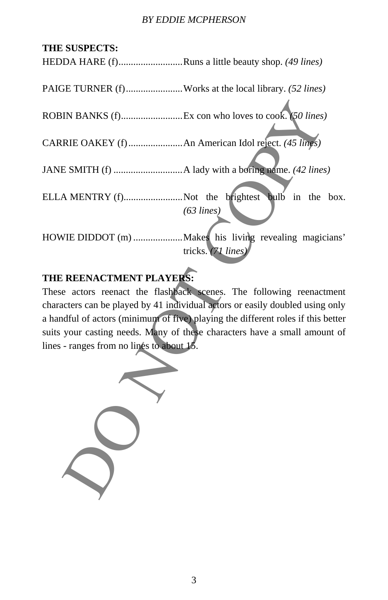#### *BY EDDIE MCPHERSON*

## **THE SUSPECTS:**

HEDDA HARE (f)..........................Runs a little beauty shop. *(49 lines)* 

PAIGE TURNER (f)..........................Works at the local library. *(52 lines)* 

ROBIN BANKS (f).........................Ex con who loves to cook. *(50 lines)* 

CARRIE OAKEY (f)......................An American Idol reject. *(45 lines)* 

JANE SMITH (f) ............................A lady with a boring name. *(42 lines)* 

ELLA MENTRY (f)............................Not the brightest bulb in the box. *(63 lines)* 

HOWIE DIDDOT (m) ....................Makes his living revealing magicians' tricks. *(71 lines)* 

# **THE REENACTMENT PLAYERS:**

These actors reenact the flashback scenes. The following reenactment characters can be played by 41 individual actors or easily doubled using only a handful of actors (minimum of five) playing the different roles if this better suits your casting needs. Many of these characters have a small amount of lines - ranges from no lines to about 15. DO NOT COPY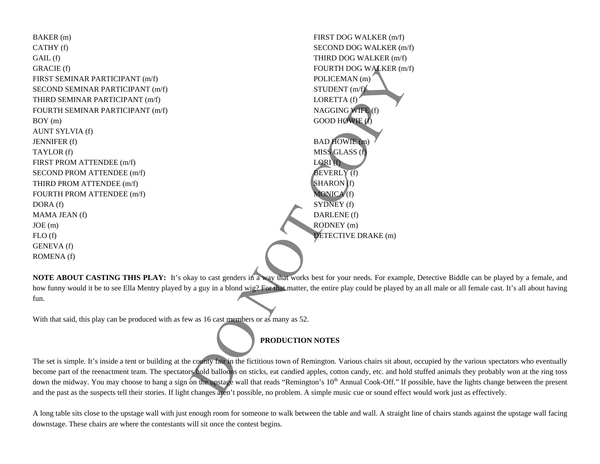| BAKER (m)                                                                                                                              | FIRST DOG WALKER (m/f)  |  |  |
|----------------------------------------------------------------------------------------------------------------------------------------|-------------------------|--|--|
| CATHY (f)                                                                                                                              | SECOND DOG WALKER (m/f) |  |  |
| GAIL (f)                                                                                                                               | THIRD DOG WALKER (m/f)  |  |  |
| GRACIE (f)                                                                                                                             | FOURTH DOG WALKER (m/f) |  |  |
| FIRST SEMINAR PARTICIPANT (m/f)                                                                                                        | POLICEMAN (m)           |  |  |
| SECOND SEMINAR PARTICIPANT (m/f)                                                                                                       | STUDENT $(m/f)$         |  |  |
| THIRD SEMINAR PARTICIPANT (m/f)                                                                                                        | LORETTA (f)             |  |  |
| FOURTH SEMINAR PARTICIPANT (m/f)                                                                                                       | NAGGING WIFE (f)        |  |  |
| BOY(m)                                                                                                                                 | GOOD HOWIE $(f)$        |  |  |
| <b>AUNT SYLVIA (f)</b>                                                                                                                 |                         |  |  |
| <b>JENNIFER</b> (f)                                                                                                                    | <b>BAD HOWIE</b> (m)    |  |  |
| TAYLOR (f)                                                                                                                             | MISS GLASS (f)          |  |  |
| FIRST PROM ATTENDEE (m/f)                                                                                                              | LORI(f)                 |  |  |
| SECOND PROM ATTENDEE (m/f)                                                                                                             | BEVERLY(f)              |  |  |
| THIRD PROM ATTENDEE (m/f)                                                                                                              | $SHARON$ (f)            |  |  |
| FOURTH PROM ATTENDEE (m/f)                                                                                                             | MONICA <sup>(f)</sup>   |  |  |
| DORA (f)                                                                                                                               | SYDNEY (f)              |  |  |
| MAMA JEAN (f)                                                                                                                          | DARLENE (f)             |  |  |
| JOE(m)                                                                                                                                 | RODNEY (m)              |  |  |
| FLO(f)                                                                                                                                 | DETECTIVE DRAKE (m)     |  |  |
| GENEVA (f)                                                                                                                             |                         |  |  |
| ROMENA (f)                                                                                                                             |                         |  |  |
|                                                                                                                                        |                         |  |  |
| NOTE ABOUT CASTING THIS PLAY: It's okay to cast genders in a way that works best for your needs. For example, I                        |                         |  |  |
| how funny would it be to see Ella Mentry played by a guy in a blond wig? For that matter, the entire play could be played by an        |                         |  |  |
| fun.                                                                                                                                   |                         |  |  |
|                                                                                                                                        |                         |  |  |
| With that said, this play can be produced with as few as 16 cast members or as many as 52.                                             |                         |  |  |
|                                                                                                                                        |                         |  |  |
| PRODUCTION NOTES                                                                                                                       |                         |  |  |
|                                                                                                                                        |                         |  |  |
| The set is simple. It's inside a tent or building at the county fair in the fictitious town of Remington. Various chairs sit about, oc |                         |  |  |
| become part of the reenactment team. The spectators hold balloons on sticks, eat candied apples, cotton candy, etc. and hold sti       |                         |  |  |
| down the midway. You may choose to hang a sign on the upstage wall that reads "Remington's 10 <sup>th</sup> Annual Cook-Off." If poss  |                         |  |  |
| and the past as the suspects tell their stories. If light changes aren't possible, no problem. A simple music cue or sound effect wo   |                         |  |  |

**NOTE ABOUT CASTING THIS PLAY:** It's okay to cast genders in a way that works best for your needs. For example, Detective Biddle can be played by a female, and how funny would it be to see Ella Mentry played by a guy in a blond wig? For that matter, the entire play could be played by an all male or all female cast. It's all about having fun.

# **PRODUCTION NOTES**

The set is simple. It's inside a tent or building at the county fair in the fictitious town of Remington. Various chairs sit about, occupied by the various spectators who eventually become part of the reenactment team. The spectators hold balloons on sticks, eat candied apples, cotton candy, etc. and hold stuffed animals they probably won at the ring toss down the midway. You may choose to hang a sign on the upstage wall that reads "Remington's 10<sup>th</sup> Annual Cook-Off." If possible, have the lights change between the present and the past as the suspects tell their stories. If light changes aren't possible, no problem. A simple music cue or sound effect would work just as effectively.

A long table sits close to the upstage wall with just enough room for someone to walk between the table and wall. A straight line of chairs stands against the upstage wall facing downstage. These chairs are where the contestants will sit once the contest begins.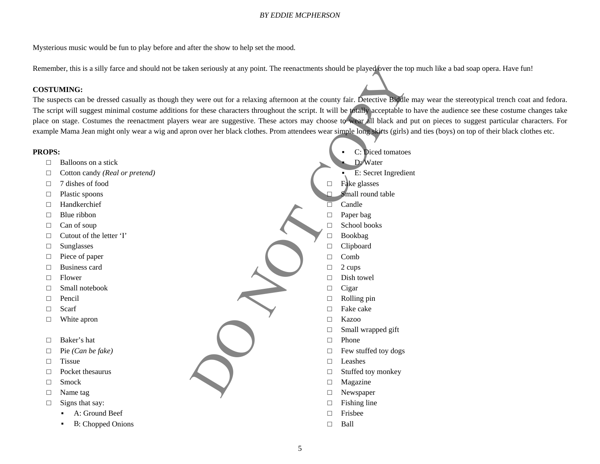### *BY EDDIE MCPHERSON*

Mysterious music would be fun to play before and after the show to help set the mood.

Remember, this is a silly farce and should not be taken seriously at any point. The reenactments should be played over the top much like a bad soap opera. Have fun!

### **COSTUMING:**

The suspects can be dressed casually as though they were out for a relaxing afternoon at the county fair. Detective Biddle may wear the stereotypical trench coat and fedora. The script will suggest minimal costume additions for these characters throughout the script. It will be totally acceptable to have the audience see these costume changes take place on stage. Costumes the reenactment players wear are suggestive. These actors may choose to wear all black and put on pieces to suggest particular characters. For example Mama Jean might only wear a wig and apron over her black clothes. Prom attendees wear simple long skirts (girls) and ties (boys) on top of their black clothes etc.

#### **PROPS:**

- □ Balloons on a stick
- □Cotton candy *(Real or pretend)*
- □7 dishes of food
- □Plastic spoons
- □Handkerchief
- □Blue ribbon
- □Can of soup
- □Cutout of the letter 'I'
- □Sunglasses
- □Piece of paper
- □Business card
- □Flower
- □Small notebook
- □Pencil
- □Scarf
- □White apron
- □Baker's hat
- □Pie *(Can be fake)*
- □**Tissue**
- □Pocket thesaurus
- □Smock
- □Name tag
- □ Signs that say:
	- A: Ground Beef
	- ▪B: Chopped Onions
- ▪ C: Diced tomatoes ▪ D: Water ▪ E: Secret Ingredient □ Fake glasses □ Small round table □ Candle □ Paper bag □ School books □ Bookbag □ Clipboard  $\Box$  Comb □ 2 cups □ Dish towel □ Cigar □ Rolling pin □ Fake cake □ Kazoo □ Small wrapped gift  $\Box$  Phone □ Few stuffed toy dogs □ Leashes  $\Box$  Stuffed toy monkey □ Magazine  $\Box$  Newspaper □ Fishing line □ Frisbee Example the state of the state of the state of the state of the state of the state of the state of the state of the state of the state of the state of the state of the state of the state of the state of the state of the s
	- $\Box$ Ball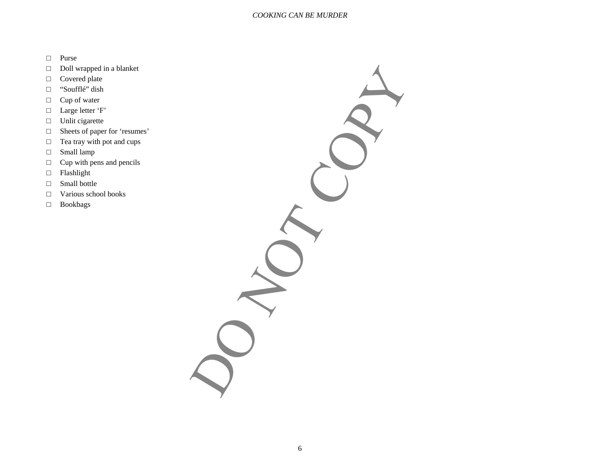#### *COOKING CAN BE MURDER*

- □ Purse
- □ Doll wrapped in a blanket
- □ Covered plate
- □"Soufflé" dish
- □ Cup of water
- □ Large letter 'F'
- □ Unlit cigarette
- □ Sheets of paper for 'resumes'
- □ Tea tray with pot and cups
- □ Small lamp
- □ Cup with pens and pencils
- □ Flashlight
- □ Small bottle
- □Various school books
- □ Bookbags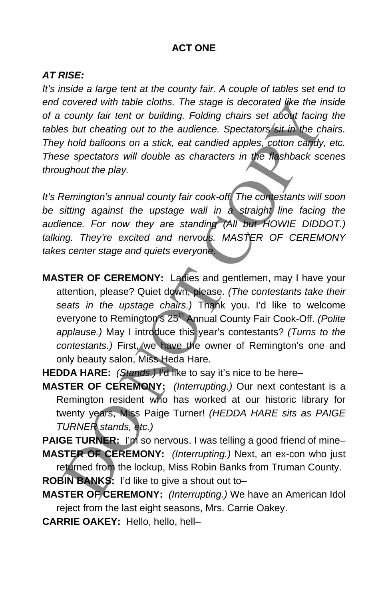## **ACT ONE**

## *AT RISE:*

It's inside a large tent at the county fair. A couple of tables set end to *end covered with table cloths. The stage is decorated like the inside of a county fair tent or building. Folding chairs set about facing the tables but cheating out to the audience. Spectators sit in the chairs. They hold balloons on a stick, eat candied apples, cotton candy, etc. These spectators will double as characters in the flashback scenes throughout the play.* 

*It's Remington's annual county fair cook-off. The contestants will soon be sitting against the upstage wall in a straight line facing the audience. For now they are standing (All but HOWIE DIDDOT.) talking. They're excited and nervous. MASTER OF CEREMONY takes center stage and quiets everyone.* 

- **MASTER OF CEREMONY:** Ladies and gentlemen, may I have your attention, please? Quiet down, please. *(The contestants take their seats in the upstage chairs.)* Thank you. I'd like to welcome everyone to Remington's 25<sup>th</sup> Annual County Fair Cook-Off. *(Polite applause.)* May I introduce this year's contestants? *(Turns to the contestants.)* First, we have the owner of Remington's one and only beauty salon, Miss Heda Hare. table cloths. The stage is decorated like the ir<br>tend or building. Folding chairs set about facing<br>g out to the audience. Spectators sit in the ch<br>is on a stick, eat candied apples, cotton candy,<br>will double as characters
- **HEDDA HARE:** *(Stands.)* I'd like to say it's nice to be here–
- **MASTER OF CEREMONY:** *(Interrupting.)* Our next contestant is a Remington resident who has worked at our historic library for twenty years, Miss Paige Turner! *(HEDDA HARE sits as PAIGE TURNER stands, etc.)* Framington resident wenty years, Miss Pa<br>
URNER stands, etc.)<br>
JE TURNER: I'm so r<br>
STER OF CEREMON<br>
STER OF CEREMON<br>
SIN BANKS: I'd like to<br>
STER OF CEREMON

**PAIGE TURNER:** I'm so nervous. I was telling a good friend of mine– **MASTER OF CEREMONY:** *(Interrupting.)* Next, an ex-con who just

returned from the lockup, Miss Robin Banks from Truman County.

**ROBIN BANKS:** I'd like to give a shout out to–

- **MASTER OF CEREMONY:** *(Interrupting.)* We have an American Idol reject from the last eight seasons, Mrs. Carrie Oakey.
- **CARRIE OAKEY:**  Hello, hello, hell–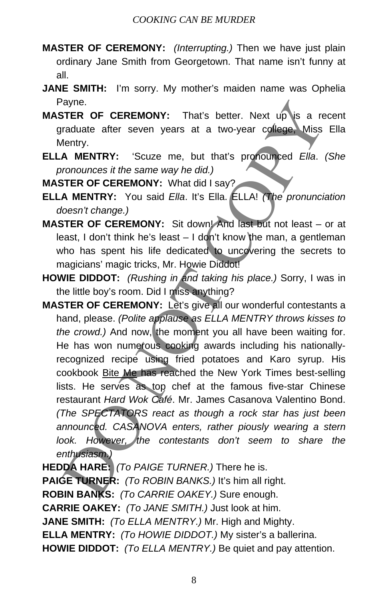- **MASTER OF CEREMONY:** *(Interrupting.)* Then we have just plain ordinary Jane Smith from Georgetown. That name isn't funny at all.
- **JANE SMITH:** I'm sorry. My mother's maiden name was Ophelia Payne.
- **MASTER OF CEREMONY:** That's better. Next up is a recent graduate after seven years at a two-year college, Miss Ella Mentry.
- **ELLA MENTRY:** 'Scuze me, but that's pronounced *Ella*. *(She pronounces it the same way he did.)*

**MASTER OF CEREMONY:** What did I say?

- **ELLA MENTRY:** You said *Ella*. It's Ella. ELLA! *(The pronunciation doesn't change.)*
- **MASTER OF CEREMONY:** Sit down! And last but not least or at least, I don't think he's least – I don't know the man, a gentleman who has spent his life dedicated to uncovering the secrets to magicians' magic tricks, Mr. Howie Diddot!
- **HOWIE DIDDOT:** *(Rushing in and taking his place.)* Sorry, I was in the little boy's room. Did I miss anything?
- **MASTER OF CEREMONY:** Let's give all our wonderful contestants a hand, please. *(Polite applause as ELLA MENTRY throws kisses to the crowd.)* And now, the moment you all have been waiting for. He has won numerous cooking awards including his nationallyrecognized recipe using fried potatoes and Karo syrup. His cookbook Bite Me has reached the New York Times best-selling lists. He serves as top chef at the famous five-star Chinese restaurant *Hard Wok Café*. Mr. James Casanova Valentino Bond. *(The SPECTATORS react as though a rock star has just been announced. CASANOVA enters, rather piously wearing a stern look. However, the contestants don't seem to share the enthusiasm.)* ayne.<br>TIER OF CEREMONY: That's better. Next up is a restantant after seven years at a two-year college. Miss<br>fentry.<br>Manufactor the same way he did.)<br>TER OF CEREMONY: What did I say?<br>TER OF CEREMONY: What did I say?<br>TER OF

**HEDDA HARE:** *(To PAIGE TURNER.)* There he is. **PAIGE TURNER:** *(To ROBIN BANKS.)* It's him all right. **ROBIN BANKS:** *(To CARRIE OAKEY.)* Sure enough. **CARRIE OAKEY:** *(To JANE SMITH.)* Just look at him. **JANE SMITH:** *(To ELLA MENTRY.)* Mr. High and Mighty. **ELLA MENTRY:** *(To HOWIE DIDDOT.)* My sister's a ballerina. **HOWIE DIDDOT:** *(To ELLA MENTRY.)* Be quiet and pay attention.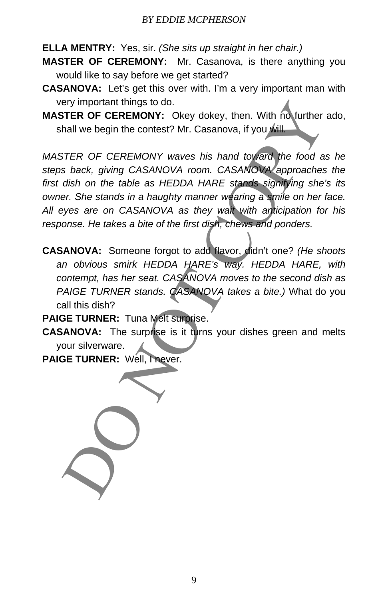**ELLA MENTRY:** Yes, sir. *(She sits up straight in her chair.)*

**MASTER OF CEREMONY:** Mr. Casanova, is there anything you would like to say before we get started?

- **CASANOVA:** Let's get this over with. I'm a very important man with very important things to do.
- **MASTER OF CEREMONY:** Okey dokey, then. With no further ado, shall we begin the contest? Mr. Casanova, if you will

*MASTER OF CEREMONY waves his hand toward the food as he steps back, giving CASANOVA room. CASANOVA approaches the first dish on the table as HEDDA HARE stands signifying she's its owner. She stands in a haughty manner wearing a smile on her face. All eyes are on CASANOVA as they wait with anticipation for his response. He takes a bite of the first dish, chews and ponders.*  FITER OF CEREMONY: ONey dokey, then. With no further<br>TIER OF CEREMONY: Okey dokey, then. With no further<br>hall we begin the contest? Mr. Casanova, if you will<br>brack brack giving CASANOVA room. CASANOW were first disting the

**CASANOVA:** Someone forgot to add flavor, didn't one? *(He shoots an obvious smirk HEDDA HARE's way. HEDDA HARE, with contempt, has her seat. CASANOVA moves to the second dish as PAIGE TURNER stands. CASANOVA takes a bite.)* What do you call this dish?

**PAIGE TURNER:** Tuna Melt surprise.

**CASANOVA:** The surprise is it turns your dishes green and melts your silverware.

PAIGE TURNER: Well, Thever.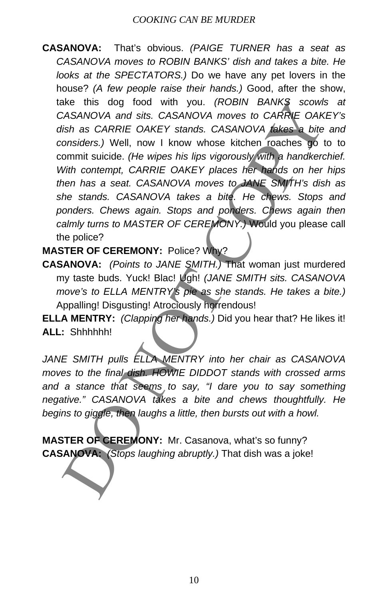**CASANOVA:** That's obvious. *(PAIGE TURNER has a seat as CASANOVA moves to ROBIN BANKS' dish and takes a bite. He looks at the SPECTATORS.)* Do we have any pet lovers in the house? *(A few people raise their hands.)* Good, after the show, take this dog food with you. *(ROBIN BANKS scowls at CASANOVA and sits. CASANOVA moves to CARRIE OAKEY's dish as CARRIE OAKEY stands. CASANOVA takes a bite and considers.)* Well, now I know whose kitchen roaches go to to commit suicide. *(He wipes his lips vigorously with a handkerchief. With contempt, CARRIE OAKEY places her hands on her hips then has a seat. CASANOVA moves to JANE SMITH's dish as she stands. CASANOVA takes a bite. He chews. Stops and ponders. Chews again. Stops and ponders. Chews again then calmly turns to MASTER OF CEREMONY.)* Would you please call the police? The Constraints of the MENTRY into the SCAR CASANOVA and site. CASANOVA and site. CASANOVA and site. CASANOVA moves to CARRIFE OAK THIS wish considers.) Well, now 1 know whose kitchen roaches go to considers.) Well, now 1

**MASTER OF CEREMONY:** Police? Why?

**CASANOVA:** *(Points to JANE SMITH.)* That woman just murdered my taste buds. Yuck! Blac! Ugh! *(JANE SMITH sits. CASANOVA move's to ELLA MENTRY's pie as she stands. He takes a bite.)* Appalling! Disgusting! Atrociously horrendous!

**ELLA MENTRY:** *(Clapping her hands.)* Did you hear that? He likes it! **ALL:** Shhhhhh!

*JANE SMITH pulls ELLA MENTRY into her chair as CASANOVA moves to the final dish. HOWIE DIDDOT stands with crossed arms and a stance that seems to say, "I dare you to say something negative." CASANOVA takes a bite and chews thoughtfully. He begins to giggle, then laughs a little, then bursts out with a howl.* 

**MASTER OF CEREMONY:** Mr. Casanova, what's so funny? **CASANOVA:** *(Stops laughing abruptly.)* That dish was a joke!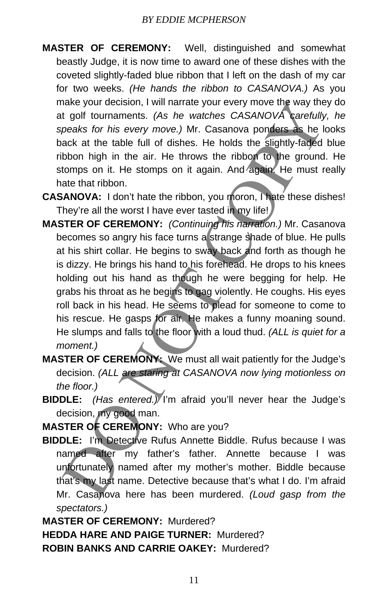- **MASTER OF CEREMONY:** Well, distinguished and somewhat beastly Judge, it is now time to award one of these dishes with the coveted slightly-faded blue ribbon that I left on the dash of my car for two weeks. *(He hands the ribbon to CASANOVA.)* As you make your decision, I will narrate your every move the way they do at golf tournaments. *(As he watches CASANOVA carefully, he speaks for his every move.)* Mr. Casanova ponders as he looks back at the table full of dishes. He holds the slightly-faded blue ribbon high in the air. He throws the ribbon to the ground. He stomps on it. He stomps on it again. And again. He must really hate that ribbon.
- **CASANOVA:** I don't hate the ribbon, you moron, I hate these dishes! They're all the worst I have ever tasted in my life!
- **MASTER OF CEREMONY:** *(Continuing his narration.)* Mr. Casanova becomes so angry his face turns a strange shade of blue. He pulls at his shirt collar. He begins to sway back and forth as though he is dizzy. He brings his hand to his forehead. He drops to his knees holding out his hand as though he were begging for help. He grabs his throat as he begins to gag violently. He coughs. His eyes roll back in his head. He seems to plead for someone to come to his rescue. He gasps for air. He makes a funny moaning sound. He slumps and falls to the floor with a loud thud. *(ALL is quiet for a moment.)* nake your decision, I will narrate your every move the way the<br>
t golf tournaments. (As he watches CASANOVA cerefully-faqed<br>
peaks for his every move.) Mr. Casanova ponders as he lack<br>
at the table full of dishes. He holds
- **MASTER OF CEREMONY:** We must all wait patiently for the Judge's decision. *(ALL are staring at CASANOVA now lying motionless on the floor.)*
- **BIDDLE:** *(Has entered.)* I'm afraid you'll never hear the Judge's decision, my good man.

**MASTER OF CEREMONY:** Who are you?

**BIDDLE:** I'm Detective Rufus Annette Biddle. Rufus because I was named after my father's father. Annette because I was unfortunately named after my mother's mother. Biddle because that's my last name. Detective because that's what I do. I'm afraid Mr. Casanova here has been murdered. *(Loud gasp from the spectators.)*

**MASTER OF CEREMONY:** Murdered? **HEDDA HARE AND PAIGE TURNER:** Murdered? **ROBIN BANKS AND CARRIE OAKEY:** Murdered?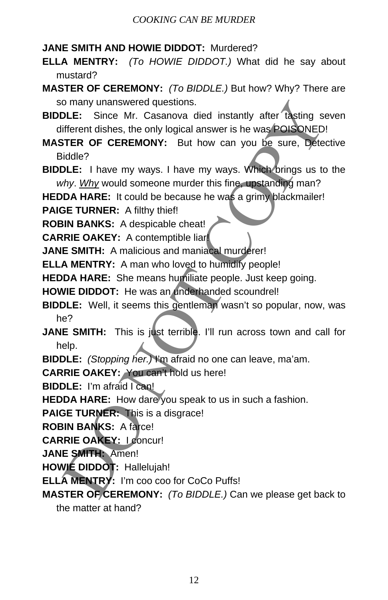- **JANE SMITH AND HOWIE DIDDOT:** Murdered?
- **ELLA MENTRY:** *(To HOWIE DIDDOT.)* What did he say about mustard?
- **MASTER OF CEREMONY:** *(To BIDDLE.)* But how? Why? There are so many unanswered questions.
- **BIDDLE:** Since Mr. Casanova died instantly after tasting seven different dishes, the only logical answer is he was POISONED!
- **MASTER OF CEREMONY:** But how can you be sure, Detective Biddle? o many unanswered questions.<br>
DLE: Since Mr. Casanova died instantly after fasting sole:<br>
different dishes, the only logical answer is he was **POISONED**<br>
different dishes, the only logical answer is he was **POISONED**<br>
DLE:
- **BIDDLE:** I have my ways. I have my ways. Which brings us to the *why*. *Why* would someone murder this fine, upstanding man?

**HEDDA HARE:** It could be because he was a grimy blackmailer!

**PAIGE TURNER:** A filthy thief!

**ROBIN BANKS:** A despicable cheat!

**CARRIE OAKEY:** A contemptible liar!

**JANE SMITH:** A malicious and maniacal murderer!

**ELLA MENTRY:** A man who loved to humidify people!

**HEDDA HARE:** She means humiliate people. Just keep going.

**HOWIE DIDDOT:** He was an underhanded scoundrel!

- **BIDDLE:** Well, it seems this gentleman wasn't so popular, now, was he?
- **JANE SMITH:** This is just terrible. I'll run across town and call for help.
- **BIDDLE:** *(Stopping her.)* I'm afraid no one can leave, ma'am.

**CARRIE OAKEY:** You can't hold us here!

**BIDDLE:** I'm afraid I can!

**HEDDA HARE:** How dare you speak to us in such a fashion.

**PAIGE TURNER:** This is a disgrace!

**ROBIN BANKS:** A farce!

**CARRIE OAKEY:** I concur!

**JANE SMITH:** Amen!

**HOWIE DIDDOT:** Hallelujah!

**ELLA MENTRY:** I'm coo coo for CoCo Puffs!

**MASTER OF CEREMONY:** *(To BIDDLE.)* Can we please get back to the matter at hand?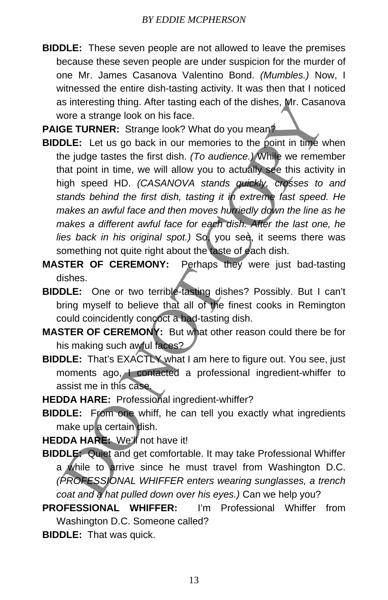**BIDDLE:** These seven people are not allowed to leave the premises because these seven people are under suspicion for the murder of one Mr. James Casanova Valentino Bond. *(Mumbles.)* Now, I witnessed the entire dish-tasting activity. It was then that I noticed as interesting thing. After tasting each of the dishes, Mr. Casanova wore a strange look on his face.

**PAIGE TURNER:** Strange look? What do you mean<sup>2</sup>

- **BIDDLE:** Let us go back in our memories to the point in time when the judge tastes the first dish. *(To audience.)* While we remember that point in time, we will allow you to actually see this activity in high speed HD. *(CASANOVA stands quickly, crosses to and stands behind the first dish, tasting it in extreme fast speed. He makes an awful face and then moves hurriedly down the line as he makes a different awful face for each dish. After the last one, he*  lies back in his original spot.) So, you see, it seems there was something not quite right about the taste of each dish. is interesting thing. After tasting each of the dishes, Mr. Casar<br>oror a strange look on his face.<br>
DE TURNER: Strange look? What do you mean?<br>
DLE: Let us go back in our memories to the point in time ve<br>
interval allowing
- **MASTER OF CEREMONY:** Perhaps they were just bad-tasting dishes.
- **BIDDLE:** One or two terrible-tasting dishes? Possibly. But I can't bring myself to believe that all of the finest cooks in Remington could coincidently concoct a bad-tasting dish.
- **MASTER OF CEREMONY:** But what other reason could there be for his making such awful faces?
- **BIDDLE:** That's EXACTLY what I am here to figure out. You see, just moments ago, I contacted a professional ingredient-whiffer to assist me in this case.

**HEDDA HARE:** Professional ingredient-whiffer?

**BIDDLE:** From one whiff, he can tell you exactly what ingredients make up a certain dish.

**HEDDA HARE:** We'll not have it!

**BIDDLE:** Quiet and get comfortable. It may take Professional Whiffer a while to arrive since he must travel from Washington D.C. *(PROFESSIONAL WHIFFER enters wearing sunglasses, a trench coat and a hat pulled down over his eyes.)* Can we help you?

**PROFESSIONAL WHIFFER:** I'm Professional Whiffer from Washington D.C. Someone called?

**BIDDLE:** That was quick.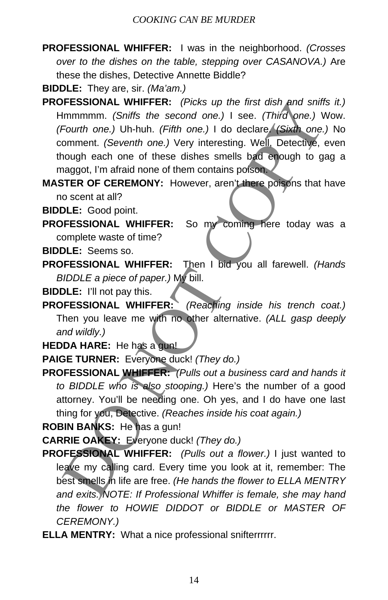**PROFESSIONAL WHIFFER:** I was in the neighborhood. *(Crosses over to the dishes on the table, stepping over CASANOVA.)* Are these the dishes, Detective Annette Biddle?

**BIDDLE:** They are, sir. *(Ma'am.)*

- **PROFESSIONAL WHIFFER:** *(Picks up the first dish and sniffs it.)* Hmmmmm. *(Sniffs the second one.)* I see. *(Third one.)* Wow. *(Fourth one.)* Uh-huh. *(Fifth one.)* I do declare. *(Sixth one.)* No comment. *(Seventh one.)* Very interesting. Well, Detective, even though each one of these dishes smells bad enough to gag a maggot, I'm afraid none of them contains poison. **FESSIONAL WHIFFER:** (*Picks up the tirst dish and snift*<br>mmmmm. (*Sniffs the second one.*) I see. (*Third one.)*<br>Fourth one.) Uh-huh. (*Fifth one.*) I do declare (*Sixth one.)*<br>comment. (*Seventh one.*) Very interesting.
- **MASTER OF CEREMONY:** However, aren't there poisons that have no scent at all?

**BIDDLE:** Good point.

- **PROFESSIONAL WHIFFER:** So my coming here today was a complete waste of time?
- **BIDDLE:** Seems so.
- **PROFESSIONAL WHIFFER:** Then I bid you all farewell. *(Hands BIDDLE a piece of paper.)* My bill.

**BIDDLE:** I'll not pay this.

- **PROFESSIONAL WHIFFER:** *(Reaching inside his trench coat.)* Then you leave me with no other alternative. *(ALL gasp deeply and wildly.)*
- **HEDDA HARE:** He has a gun!
- **PAIGE TURNER:** Everyone duck! *(They do.)*
- **PROFESSIONAL WHIFFER:** *(Pulls out a business card and hands it to BIDDLE who is also stooping.)* Here's the number of a good attorney. You'll be needing one. Oh yes, and I do have one last thing for you, Detective. *(Reaches inside his coat again.)*

**ROBIN BANKS:** He has a gun!

- **CARRIE OAKEY:** Everyone duck! *(They do.)*
- **PROFESSIONAL WHIFFER:** *(Pulls out a flower.)* I just wanted to leave my calling card. Every time you look at it, remember: The best smells in life are free. *(He hands the flower to ELLA MENTRY and exits. NOTE: If Professional Whiffer is female, she may hand the flower to HOWIE DIDDOT or BIDDLE or MASTER OF CEREMONY.)*
- **ELLA MENTRY:** What a nice professional snifterrrrrr.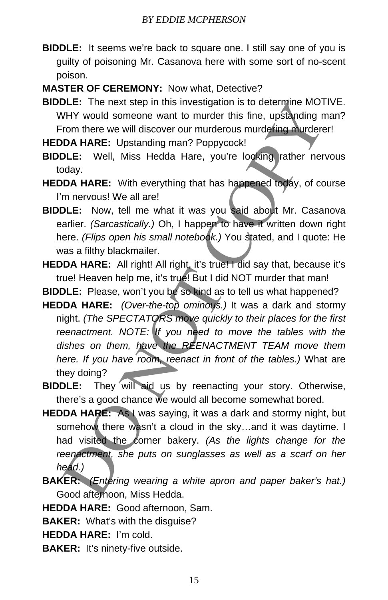- **BIDDLE:** It seems we're back to square one. I still say one of you is guilty of poisoning Mr. Casanova here with some sort of no-scent poison.
- **MASTER OF CEREMONY:** Now what, Detective?
- **BIDDLE:** The next step in this investigation is to determine MOTIVE. WHY would someone want to murder this fine, upstanding man? From there we will discover our murderous murdering murderer!

**HEDDA HARE:** Upstanding man? Poppycock!

- **BIDDLE:** Well, Miss Hedda Hare, you're looking rather nervous today.
- **HEDDA HARE:** With everything that has happened today, of course I'm nervous! We all are!
- **BIDDLE:** Now, tell me what it was you said about Mr. Casanova earlier. *(Sarcastically.)* Oh, I happen to have it written down right here. *(Flips open his small notebook.)* You stated, and I quote: He was a filthy blackmailer.
- **HEDDA HARE:** All right! All right, it's true! I did say that, because it's true! Heaven help me, it's true! But I did NOT murder that man!
- **BIDDLE:** Please, won't you be so kind as to tell us what happened?
- **HEDDA HARE:** *(Over-the-top ominous.)* It was a dark and stormy night. *(The SPECTATORS move quickly to their places for the first reenactment. NOTE: If you need to move the tables with the dishes on them, have the REENACTMENT TEAM move them here. If you have room, reenact in front of the tables.)* What are they doing? DLE: The next step in this investigation is to determine MOT<br>VHY would someone want to murder this fine, upstanding m<br>from there we will discover our murderous murdering murder<br>
DA HARE: Upstanding man? Poppycock!<br>
DLE: We
- **BIDDLE:** They will aid us by reenacting your story. Otherwise, there's a good chance we would all become somewhat bored.
- **HEDDA HARE:** As I was saying, it was a dark and stormy night, but somehow there wasn't a cloud in the sky...and it was daytime. I had visited the corner bakery. *(As the lights change for the reenactment, she puts on sunglasses as well as a scarf on her head.)*
- **BAKER:** *(Entering wearing a white apron and paper baker's hat.)* Good afternoon, Miss Hedda.
- **HEDDA HARE:** Good afternoon, Sam.
- **BAKER:** What's with the disguise?
- **HEDDA HARE:** I'm cold.
- **BAKER:** It's ninety-five outside.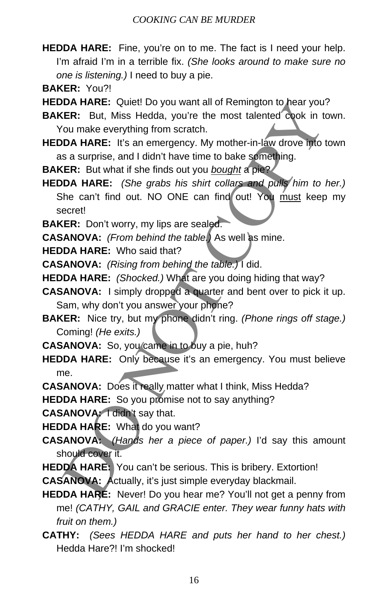- **HEDDA HARE:** Fine, you're on to me. The fact is I need your help. I'm afraid I'm in a terrible fix. *(She looks around to make sure no one is listening.)* I need to buy a pie.
- **BAKER:** You?!

**HEDDA HARE:** Quiet! Do you want all of Remington to hear you?

**BAKER:** But, Miss Hedda, you're the most talented cook in town. You make everything from scratch.

**HEDDA HARE:** It's an emergency. My mother-in-law drove into town as a surprise, and I didn't have time to bake something.

**BAKER:** But what if she finds out you *bought* a pie?

**HEDDA HARE:** *(She grabs his shirt collars and pulls him to her.)* She can't find out. NO ONE can find out! You must keep my secret! **IDA HARE:** Quett Do you want all of Remington to hear you'<br>
CRIER: But, Miss Hedda, you're the most talented cook in the most talented cook in the most talented cook in the most exerything from scratch.<br>
DA HARE: It's an

**BAKER:** Don't worry, my lips are sealed.

**CASANOVA:** *(From behind the table.)* As well as mine.

**HEDDA HARE:** Who said that?

**CASANOVA:** *(Rising from behind the table.)* I did.

**HEDDA HARE:** *(Shocked.)* What are you doing hiding that way?

**CASANOVA:** I simply dropped a quarter and bent over to pick it up. Sam, why don't you answer your phone?

**BAKER:** Nice try, but my phone didn't ring. *(Phone rings off stage.)* Coming! *(He exits.)*

**CASANOVA:** So, you came in to buy a pie, huh?

**HEDDA HARE:** Only because it's an emergency. You must believe me.

**CASANOVA:** Does it really matter what I think, Miss Hedda?

**HEDDA HARE:** So you promise not to say anything?

**CASANOVA:** I didn't say that.

**HEDDA HARE:** What do you want?

**CASANOVA:** *(Hands her a piece of paper.)* I'd say this amount should cover it.

**HEDDA HARE:** You can't be serious. This is bribery. Extortion!

**CASANOVA:** Actually, it's just simple everyday blackmail.

**HEDDA HARE:** Never! Do you hear me? You'll not get a penny from me! *(CATHY, GAIL and GRACIE enter. They wear funny hats with fruit on them.)*

**CATHY:** *(Sees HEDDA HARE and puts her hand to her chest.)* Hedda Hare?! I'm shocked!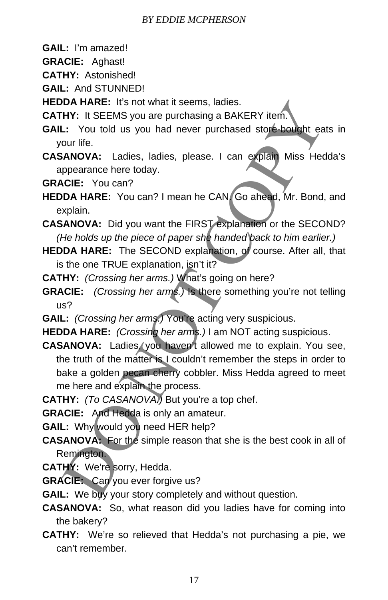- **GAIL:** I'm amazed!
- **GRACIE:** Aghast!
- **CATHY:** Astonished!

**GAIL:** And STUNNED!

**HEDDA HARE:** It's not what it seems, ladies.

**CATHY:** It SEEMS you are purchasing a BAKERY item.

- **GAIL:** You told us you had never purchased store-bought eats in your life.
- **CASANOVA:** Ladies, ladies, please. I can explain Miss Hedda's appearance here today.

**GRACIE:** You can?

- **HEDDA HARE:** You can? I mean he CAN. Go ahead, Mr. Bond, and explain.
- **CASANOVA:** Did you want the FIRST explanation or the SECOND? *(He holds up the piece of paper she handed back to him earlier.)*
- **HEDDA HARE:** The SECOND explanation, of course. After all, that is the one TRUE explanation, isn't it?
- **CATHY:** *(Crossing her arms.)* What's going on here?
- **GRACIE:** *(Crossing her arms.)* Is there something you're not telling us?
- **GAIL:** *(Crossing her arms.)* You're acting very suspicious.
- **HEDDA HARE:** *(Crossing her arms.)* I am NOT acting suspicious.
- CASANOVA: Ladies, you haven't allowed me to explain. You see, the truth of the matter is I couldn't remember the steps in order to bake a golden pecan cherry cobbler. Miss Hedda agreed to meet me here and explain the process. DA HARE: It's not what it seems, ladies.<br>
HY: It SEEMS you are purchasing a BAKERY item.<br>
1.: You told us you had never purchased store-bought ea.<br>
1.: You told us you had never purchased store-bought ea.<br>
1.: You told us
- **CATHY:** *(To CASANOVA.)* But you're a top chef.
- **GRACIE:** And Hedda is only an amateur.
- **GAIL:** Why would you need HER help?
- **CASANOVA:** For the simple reason that she is the best cook in all of Remington.
- **CATHY:** We're sorry, Hedda.
- **GRACIE:** Can you ever forgive us?
- **GAIL:** We buy your story completely and without question.
- **CASANOVA:** So, what reason did you ladies have for coming into the bakery?
- **CATHY:** We're so relieved that Hedda's not purchasing a pie, we can't remember.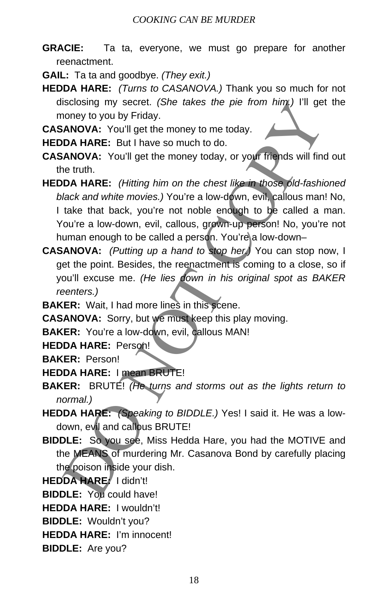**GRACIE:** Ta ta, everyone, we must go prepare for another reenactment.

**GAIL:** Ta ta and goodbye. *(They exit.)*

- **HEDDA HARE:** *(Turns to CASANOVA.)* Thank you so much for not disclosing my secret. *(She takes the pie from him.)* I'll get the money to you by Friday.
- **CASANOVA:** You'll get the money to me today.

**HEDDA HARE:** But I have so much to do.

- **CASANOVA:** You'll get the money today, or your friends will find out the truth.
- **HEDDA HARE:** *(Hitting him on the chest like in those old-fashioned black and white movies.)* You're a low-down, evil, callous man! No, I take that back, you're not noble enough to be called a man. You're a low-down, evil, callous, grown-up person! No, you're not human enough to be called a person. You're\a low-downisclosing my secret. (She takes the pie trom him.) I'll get<br>noney to you by Friday.<br> **ANOVA:** You'll get the money to me today.<br>
DA HARE: But I have so much to do.<br> **DA HARE:** But I have so much to do.<br> **ANOVA:** You'll get
- **CASANOVA:** *(Putting up a hand to stop her.)* You can stop now, I get the point. Besides, the reenactment is coming to a close, so if you'll excuse me. *(He lies down in his original spot as BAKER reenters.)*

**BAKER:** Wait, I had more lines in this scene.

**CASANOVA:** Sorry, but we must keep this play moving.

**BAKER:** You're a low-down, evil, callous MAN!

**HEDDA HARE:** Person!

**BAKER:** Person!

- **HEDDA HARE:** I mean BRUTE!
- **BAKER:** BRUTE! *(He turns and storms out as the lights return to normal.)*
- **HEDDA HARE:** *(Speaking to BIDDLE.)* Yes! I said it. He was a lowdown, evil and callous BRUTE!
- **BIDDLE:** So you see, Miss Hedda Hare, you had the MOTIVE and the MEANS of murdering Mr. Casanova Bond by carefully placing the poison inside your dish.
- **HEDDA HARE:** I didn't!

**BIDDLE:** You could have!

**HEDDA HARE:** I wouldn't!

- **BIDDLE:** Wouldn't you?
- **HEDDA HARE:** I'm innocent!
- **BIDDLE:** Are you?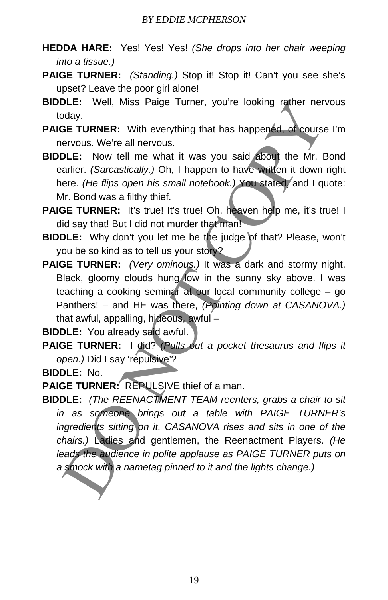- **HEDDA HARE:** Yes! Yes! Yes! *(She drops into her chair weeping into a tissue.)*
- **PAIGE TURNER:** *(Standing.)* Stop it! Stop it! Can't you see she's upset? Leave the poor girl alone!
- **BIDDLE:** Well, Miss Paige Turner, you're looking rather nervous today.
- **PAIGE TURNER:** With everything that has happened, of course I'm nervous. We're all nervous.
- **BIDDLE:** Now tell me what it was you said about the Mr. Bond earlier. *(Sarcastically.)* Oh, I happen to have written it down right here. *(He flips open his small notebook.)* You stated, and I quote: Mr. Bond was a filthy thief.
- **PAIGE TURNER:** It's true! It's true! Oh, heaven help me, it's true! I did say that! But I did not murder that man!
- **BIDDLE:** Why don't you let me be the judge of that? Please, won't you be so kind as to tell us your story?
- **PAIGE TURNER:** *(Very ominous.)* It was a dark and stormy night. Black, gloomy clouds hung low in the sunny sky above. I was teaching a cooking seminar at our local community college – go Panthers! – and HE was there, *(Pointing down at CASANOVA.)* that awful, appalling, hideous, awful –

**BIDDLE:** You already said awful.

**PAIGE TURNER:** I did? *(Pulls out a pocket thesaurus and flips it open.)* Did I say 'repulsive'?

**BIDDLE:** No.

PAIGE TURNER: REPULSIVE thief of a man.

**BIDDLE:** *(The REENACTMENT TEAM reenters, grabs a chair to sit in as someone brings out a table with PAIGE TURNER's ingredients sitting on it. CASANOVA rises and sits in one of the chairs.)* Ladies and gentlemen, the Reenactment Players. *(He*  leads the audience in polite applause as PAIGE TURNER puts on *a smock with a nametag pinned to it and the lights change.)* DLE: Well, Miss Parge Turner, you're looking rather ner<br>dody.<br>BE TURNER: With everything that has happendd of course<br>ervous. We're all nervous.<br>DLE: Now tell me what it was you said about the Mr. E<br>arlier. (*Sarcastically.*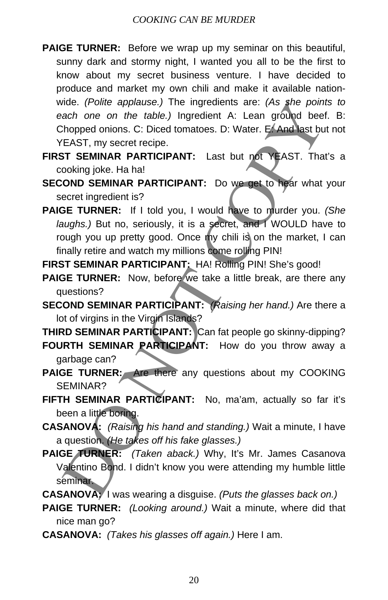- **PAIGE TURNER:** Before we wrap up my seminar on this beautiful, sunny dark and stormy night, I wanted you all to be the first to know about my secret business venture. I have decided to produce and market my own chili and make it available nationwide. *(Polite applause.)* The ingredients are: *(As she points to each one on the table.)* Ingredient A: Lean ground beef. B: Chopped onions. C: Diced tomatoes. D: Water. E. And last but not YEAST, my secret recipe.
- **FIRST SEMINAR PARTICIPANT:** Last but not YEAST. That's a cooking joke. Ha ha!
- **SECOND SEMINAR PARTICIPANT:** Do we get to hear what your secret ingredient is?
- **PAIGE TURNER:** If I told you, I would have to murder you. *(She laughs.)* But no, seriously, it is a secret, and I WOULD have to rough you up pretty good. Once my chili is on the market, I can finally retire and watch my millions come rolling PIN! ride. (Polite applause.) The ingredients are: (As she point<br>ach one on the table.) Ingredient A: Lean ground beet<br>chorped onions. C: Diced tonatoes. D: Water. E And ast bu<br>chorped onions. C: Diced tonatoes. D: Water. E And
- FIRST SEMINAR PARTICIPANT: HA! Rolling PIN! She's good!
- PAIGE TURNER: Now, before we take a little break, are there any questions?
- **SECOND SEMINAR PARTICIPANT:** *(Raising her hand.)* Are there a lot of virgins in the Virgin Islands?

**THIRD SEMINAR PARTICIPANT:** Can fat people go skinny-dipping? **FOURTH SEMINAR PARTICIPANT:** How do you throw away a garbage can?

- **PAIGE TURNER:** Are there any questions about my COOKING SEMINAR?
- **FIFTH SEMINAR PARTICIPANT:** No, ma'am, actually so far it's been a little boring.
- **CASANOVA:** *(Raising his hand and standing.)* Wait a minute, I have a question. *(He takes off his fake glasses.)*
- PAIGE TURNER: *(Taken aback.)* Why, It's Mr. James Casanova Valentino Bond. I didn't know you were attending my humble little seminar.
- **CASANOVA:** I was wearing a disguise. *(Puts the glasses back on.)*
- **PAIGE TURNER:** *(Looking around.)* Wait a minute, where did that nice man go?
- **CASANOVA:** *(Takes his glasses off again.)* Here I am.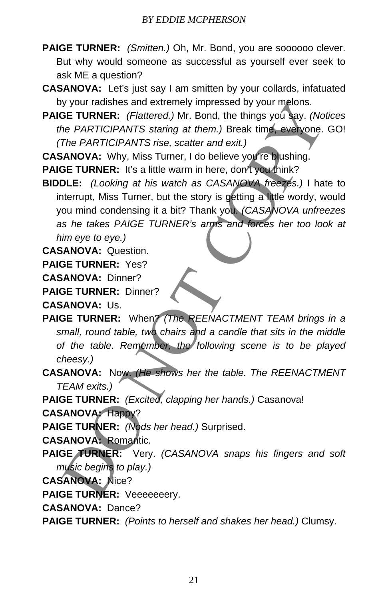- **PAIGE TURNER:** *(Smitten.)* Oh, Mr. Bond, you are soooooo clever. But why would someone as successful as yourself ever seek to ask ME a question?
- **CASANOVA:** Let's just say I am smitten by your collards, infatuated by your radishes and extremely impressed by your melons.
- **PAIGE TURNER:** *(Flattered.)* Mr. Bond, the things you say. *(Notices the PARTICIPANTS staring at them.)* Break time, everyone. GO! *(The PARTICIPANTS rise, scatter and exit.)*

**CASANOVA:** Why, Miss Turner, I do believe you're blushing.

**PAIGE TURNER:** It's a little warm in here, don't you think?

**BIDDLE:** *(Looking at his watch as CASANOVA freezes.)* I hate to interrupt, Miss Turner, but the story is getting a little wordy, would you mind condensing it a bit? Thank you. *(CASANOVA unfreezes as he takes PAIGE TURNER's arms and forces her too look at him eye to eye.)* y your radishes and extremely impressed by your melons.<br>
DE TURNER: (Faltered.) Int. Bond, the things you and the filling with the particle *PARTICIPANTS staring at them.*) Break time everyone.<br>
The PARTICIPANTS rise, scat

**CASANOVA:** Question.

**PAIGE TURNER:** Yes?

**CASANOVA:** Dinner?

**PAIGE TURNER:** Dinner?

**CASANOVA:** Us.

- **PAIGE TURNER:** When? *(The REENACTMENT TEAM brings in a small, round table, two chairs and a candle that sits in the middle of the table. Remember, the following scene is to be played cheesy.)*
- **CASANOVA:** Now. *(He shows her the table. The REENACTMENT TEAM exits.)*
- **PAIGE TURNER:** *(Excited, clapping her hands.)* Casanova!
- **CASANOVA:** Happy?

**PAIGE TURNER:** *(Nods her head.)* Surprised.

**CASANOVA:** Romantic.

- **PAIGE TURNER:** Very. *(CASANOVA snaps his fingers and soft music begins to play.)*
- **CASANOVA:** Nice?

PAIGE TURNER: Veeeeeeery.

**CASANOVA:** Dance?

**PAIGE TURNER:** *(Points to herself and shakes her head.)* Clumsy.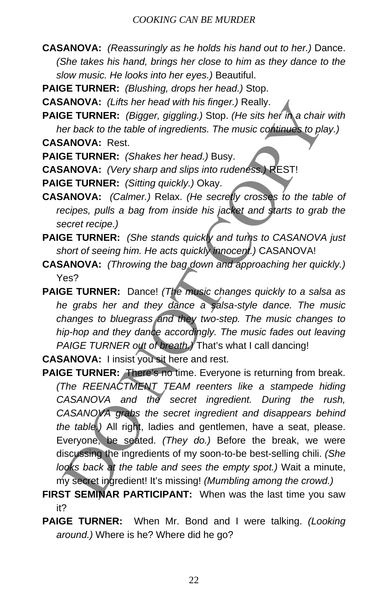**CASANOVA:** *(Reassuringly as he holds his hand out to her.)* Dance. *(She takes his hand, brings her close to him as they dance to the slow music. He looks into her eyes.)* Beautiful.

**PAIGE TURNER:** *(Blushing, drops her head.)* Stop.

**CASANOVA:** *(Lifts her head with his finger.)* Really.

**PAIGE TURNER:** *(Bigger, giggling.)* Stop. *(He sits her in a chair with her back to the table of ingredients. The music continues to play.)*

**CASANOVA:** Rest.

**PAIGE TURNER:** *(Shakes her head.)* Busy.

**CASANOVA:** *(Very sharp and slips into rudeness.)* REST!

**PAIGE TURNER:** *(Sitting quickly.)* Okay.

**CASANOVA:** *(Calmer.)* Relax. *(He secretly crosses to the table of recipes, pulls a bag from inside his jacket and starts to grab the secret recipe.)*

- **PAIGE TURNER:** *(She stands quickly and turns to CASANOVA just short of seeing him. He acts quickly innocent.)* CASANOVA!
- **CASANOVA:** *(Throwing the bag down and approaching her quickly.)* Yes?
- **PAIGE TURNER:** Dance! *(The music changes quickly to a salsa as he grabs her and they dance a salsa-style dance. The music changes to bluegrass and they two-step. The music changes to hip-hop and they dance accordingly. The music fades out leaving PAIGE TURNER out of breath.)* That's what I call dancing!

**CASANOVA:** I insist you sit here and rest.

**PAIGE TURNER:** There's no time. Everyone is returning from break. *(The REENACTMENT TEAM reenters like a stampede hiding CASANOVA and the secret ingredient. During the rush, CASANOVA grabs the secret ingredient and disappears behind the table.)* All right, ladies and gentlemen, have a seat, please. Everyone, be seated. *(They do.)* Before the break, we were discussing the ingredients of my soon-to-be best-selling chili. *(She looks back at the table and sees the empty spot.)* Wait a minute, my secret ingredient! It's missing! *(Mumbling among the crowd.)* ANOVA: (Litts her head with his tinger.) Really.<br>
DE TURNER: (Bigger, giggling.) Stop. (He sits her in a chair<br>
or back to the table of ingredients. The music continues to pla<br>
ANOVA: Rest.<br>
DE TURNER: (Shakes her head.) B

**FIRST SEMINAR PARTICIPANT:** When was the last time you saw it?

**PAIGE TURNER:** When Mr. Bond and I were talking. *(Looking around.)* Where is he? Where did he go?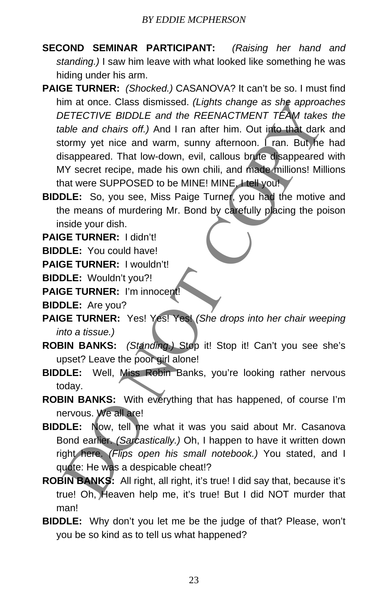- **SECOND SEMINAR PARTICIPANT:** *(Raising her hand and standing.)* I saw him leave with what looked like something he was hiding under his arm.
- **PAIGE TURNER:** *(Shocked.)* CASANOVA? It can't be so. I must find him at once. Class dismissed. *(Lights change as she approaches DETECTIVE BIDDLE and the REENACTMENT TEAM takes the table and chairs off.)* And I ran after him. Out into that dark and stormy yet nice and warm, sunny afternoon. Fran. But he had disappeared. That low-down, evil, callous brute disappeared with MY secret recipe, made his own chili, and made millions! Millions that were SUPPOSED to be MINE! MINE, I tell you! im at once. Class dismissed. (Lights change as she approached and the REENACTMENT TEAM takes<br>
bable and chairs off.) And I ran after him. Out into that datk<br>
tormy yet nice and warm, sunny afternoon. I ran. But, he<br>
isappe
- **BIDDLE:** So, you see, Miss Paige Turner, you had the motive and the means of murdering Mr. Bond by carefully placing the poison inside your dish.

**PAIGE TURNER:** I didn't!

**BIDDLE:** You could have!

**PAIGE TURNER:** I wouldn't!

**BIDDLE:** Wouldn't you?!

**PAIGE TURNER:** I'm innocent!

**BIDDLE:** Are you?

- **PAIGE TURNER:** Yes! Yes! Yes! *(She drops into her chair weeping into a tissue.)*
- **ROBIN BANKS:** *(Standing.)* Stop it! Stop it! Can't you see she's upset? Leave the poor girl alone!
- **BIDDLE:** Well, Miss Robin Banks, you're looking rather nervous today.
- **ROBIN BANKS:** With everything that has happened, of course I'm nervous. We all are!
- **BIDDLE:** Now, tell me what it was you said about Mr. Casanova Bond earlier. *(Sarcastically.)* Oh, I happen to have it written down right here. *(Flips open his small notebook.)* You stated, and I quote: He was a despicable cheat!?
- **ROBIN BANKS:** All right, all right, it's true! I did say that, because it's true! Oh, Heaven help me, it's true! But I did NOT murder that man!
- **BIDDLE:** Why don't you let me be the judge of that? Please, won't you be so kind as to tell us what happened?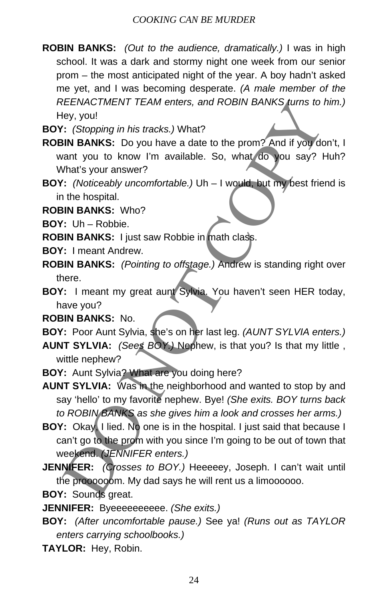- **ROBIN BANKS:** *(Out to the audience, dramatically.)* I was in high school. It was a dark and stormy night one week from our senior prom – the most anticipated night of the year. A boy hadn't asked me yet, and I was becoming desperate. *(A male member of the REENACTMENT TEAM enters, and ROBIN BANKS turns to him.)*  Hey, you!
- **BOY:** *(Stopping in his tracks.)* What?
- **ROBIN BANKS:** Do you have a date to the prom? And if you don't, I want you to know I'm available. So, what do you say? Huh? What's your answer?
- **BOY:** *(Noticeably uncomfortable.)* Uh I would, but my best friend is in the hospital.

**ROBIN BANKS:** Who?

**BOY:** Uh – Robbie.

**ROBIN BANKS:** I just saw Robbie in math class.

- **BOY:** I meant Andrew.
- **ROBIN BANKS:** *(Pointing to offstage.)* Andrew is standing right over there.
- **BOY:** I meant my great aunt Sylvia. You haven't seen HER today, have you?

**ROBIN BANKS:** No.

- **BOY:** Poor Aunt Sylvia, she's on her last leg. *(AUNT SYLVIA enters.)*
- **AUNT SYLVIA:** *(Sees BOY.)* Nephew, is that you? Is that my little , wittle nephew?
- **BOY:** Aunt Sylvia? What are you doing here?
- **AUNT SYLVIA:** Was in the neighborhood and wanted to stop by and say 'hello' to my favorite nephew. Bye! *(She exits. BOY turns back to ROBIN BANKS as she gives him a look and crosses her arms.)* REENACTMENT TEAM enters, and ROBIN BANKS turns to I<br>
ley, you!<br>
:: (Stopping in his tracks.) What?<br>
:: (Stopping in his tracks.) What?<br>
IN BANKS: Do you have a date to the prom? And if you do<br>
the s you ranswer?<br>
IN BANKS:
- **BOY:** Okay, I lied. No one is in the hospital. I just said that because I can't go to the prom with you since I'm going to be out of town that weekend. *(JENNIFER enters.)*
- **JENNIFER:** *(Crosses to BOY.)* Heeeeey, Joseph. I can't wait until the proooooom. My dad says he will rent us a limoooooo.
- **BOY:** Sounds great.

**JENNIFER:** Byeeeeeeeeee. *(She exits.)*

- **BOY:** *(After uncomfortable pause.)* See ya! *(Runs out as TAYLOR enters carrying schoolbooks.)*
- **TAYLOR:** Hey, Robin.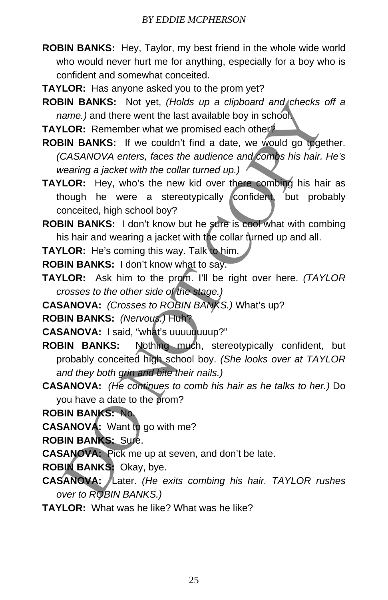- **ROBIN BANKS:** Hey, Taylor, my best friend in the whole wide world who would never hurt me for anything, especially for a boy who is confident and somewhat conceited.
- **TAYLOR:** Has anyone asked you to the prom yet?
- **ROBIN BANKS:** Not yet, *(Holds up a clipboard and checks off a name.)* and there went the last available boy in school.
- **TAYLOR:** Remember what we promised each other?
- **ROBIN BANKS:** If we couldn't find a date, we would go together. *(CASANOVA enters, faces the audience and combs his hair. He's wearing a jacket with the collar turned up.)*
- **TAYLOR:** Hey, who's the new kid over there combing his hair as though he were a stereotypically confident, but probably conceited, high school boy?
- **ROBIN BANKS:** I don't know but he sure is cool what with combing his hair and wearing a jacket with the collar turned up and all.
- **TAYLOR:** He's coming this way. Talk to him.

**ROBIN BANKS:** I don't know what to say.

- **TAYLOR:** Ask him to the prom. I'll be right over here. *(TAYLOR crosses to the other side of the stage.)*
- **CASANOVA:** *(Crosses to ROBIN BANKS.)* What's up?
- **ROBIN BANKS:** *(Nervous.)* Huh?

**CASANOVA:** I said, "what's uuuuuuuup?"

- **ROBIN BANKS:** Nothing much, stereotypically confident, but probably conceited high school boy. *(She looks over at TAYLOR and they both grin and bite their nails.)* SIN BANKS: Not yet, (*Holds up a clipboard and checks* in<br>
LOR: Remember what the last available boy in school.<br>
LOR: Remember what we promised each other<sup>3</sup><br>
LOR: Remember what we promised each other<sup>3</sup><br>
SIN BANKS: If we
- **CASANOVA:** *(He continues to comb his hair as he talks to her.)* Do you have a date to the prom?
- **ROBIN BANKS:** No.

**CASANOVA:** Want to go with me?

**ROBIN BANKS:** Sure.

**CASANOVA:** Pick me up at seven, and don't be late.

- **ROBIN BANKS:** Okay, bye.
- **CASANOVA:** Later. *(He exits combing his hair. TAYLOR rushes over to ROBIN BANKS.)*
- **TAYLOR:** What was he like? What was he like?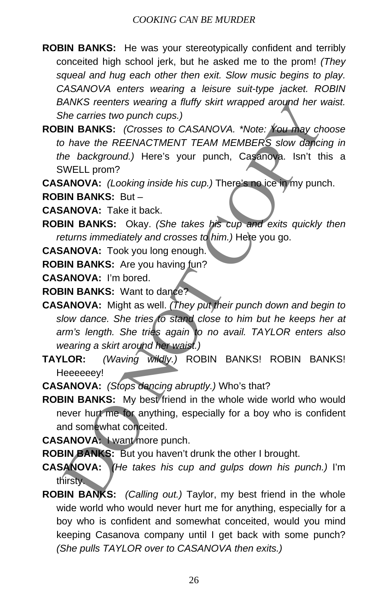- **ROBIN BANKS:** He was your stereotypically confident and terribly conceited high school jerk, but he asked me to the prom! *(They squeal and hug each other then exit. Slow music begins to play. CASANOVA enters wearing a leisure suit-type jacket. ROBIN BANKS reenters wearing a fluffy skirt wrapped around her waist. She carries two punch cups.)*
- **ROBIN BANKS:** *(Crosses to CASANOVA. \*Note: You may choose to have the REENACTMENT TEAM MEMBERS slow dancing in the background.)* Here's your punch, Casanova. Isn't this a SWELL prom?
- **CASANOVA:** *(Looking inside his cup.)* There's no ice in my punch.

**ROBIN BANKS:** But –

**CASANOVA:** Take it back.

- **ROBIN BANKS:** Okay. *(She takes his cup and exits quickly then*  returns immediately and crosses to him.) Here you go.
- **CASANOVA:** Took you long enough.
- **ROBIN BANKS:** Are you having fun?

**CASANOVA:** I'm bored.

**ROBIN BANKS:** Want to dance?

- **CASANOVA:** Might as well. *(They put their punch down and begin to slow dance. She tries to stand close to him but he keeps her at arm's length. She tries again to no avail. TAYLOR enters also wearing a skirt around her waist.)* VANKS reenters wearing a fluitly skirt wrapped around her with exarist two punch cups.)<br>
Since are two councides to CASANOVA. "Note: You may chome the REENACTMENT TEAM MEMBERS slow dancine<br>  $\text{BINR}$  BANKS: (Crosses to CAS
- **TAYLOR:** *(Waving wildly.)* ROBIN BANKS! ROBIN BANKS! Heeeeeey!

**CASANOVA:** *(Stops dancing abruptly.)* Who's that?

**ROBIN BANKS:** My best friend in the whole wide world who would never hurt me for anything, especially for a boy who is confident and somewhat conceited.

**CASANOVA:** I want more punch.

**ROBIN BANKS:** But you haven't drunk the other I brought.

- **CASANOVA:** *(He takes his cup and gulps down his punch.)* I'm thirsty.
- **ROBIN BANKS:** *(Calling out.)* Taylor, my best friend in the whole wide world who would never hurt me for anything, especially for a boy who is confident and somewhat conceited, would you mind keeping Casanova company until I get back with some punch? *(She pulls TAYLOR over to CASANOVA then exits.)*